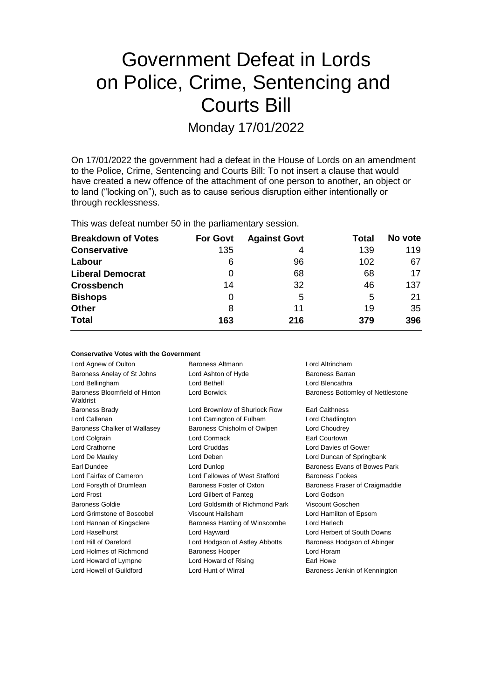# Government Defeat in Lords on Police, Crime, Sentencing and Courts Bill

Monday 17/01/2022

On 17/01/2022 the government had a defeat in the House of Lords on an amendment to the Police, Crime, Sentencing and Courts Bill: To not insert a clause that would have created a new offence of the attachment of one person to another, an object or to land ("locking on"), such as to cause serious disruption either intentionally or through recklessness.

This was defeat number 50 in the parliamentary session.

| <b>Breakdown of Votes</b> | <b>For Govt</b> | <b>Against Govt</b> | Total | No vote |
|---------------------------|-----------------|---------------------|-------|---------|
| <b>Conservative</b>       | 135             | 4                   | 139   | 119     |
| Labour                    | 6               | 96                  | 102   | 67      |
| <b>Liberal Democrat</b>   | 0               | 68                  | 68    | 17      |
| <b>Crossbench</b>         | 14              | 32                  | 46    | 137     |
| <b>Bishops</b>            | 0               | 5                   | 5     | 21      |
| <b>Other</b>              | 8               | 11                  | 19    | 35      |
| <b>Total</b>              | 163             | 216                 | 379   | 396     |

#### **Conservative Votes with the Government**

| Baroness Altmann                | Lord Altrincham                   |  |
|---------------------------------|-----------------------------------|--|
| Lord Ashton of Hyde             | Baroness Barran                   |  |
| Lord Bethell                    | Lord Blencathra                   |  |
| Lord Borwick                    | Baroness Bottomley of Nettlestone |  |
| Lord Brownlow of Shurlock Row   | <b>Earl Caithness</b>             |  |
| Lord Carrington of Fulham       | Lord Chadlington                  |  |
| Baroness Chisholm of Owlpen     | Lord Choudrey                     |  |
| Lord Cormack                    | Earl Courtown                     |  |
| Lord Cruddas                    | Lord Davies of Gower              |  |
| Lord Deben                      | Lord Duncan of Springbank         |  |
| Lord Dunlop                     | Baroness Evans of Bowes Park      |  |
| Lord Fellowes of West Stafford  | <b>Baroness Fookes</b>            |  |
| Baroness Foster of Oxton        | Baroness Fraser of Craigmaddie    |  |
| Lord Gilbert of Panteg          | Lord Godson                       |  |
| Lord Goldsmith of Richmond Park | Viscount Goschen                  |  |
| Viscount Hailsham               | Lord Hamilton of Epsom            |  |
| Baroness Harding of Winscombe   | Lord Harlech                      |  |
| Lord Hayward                    | Lord Herbert of South Downs       |  |
| Lord Hodgson of Astley Abbotts  | Baroness Hodgson of Abinger       |  |
| <b>Baroness Hooper</b>          | Lord Horam                        |  |
| Lord Howard of Rising           | Earl Howe                         |  |
| Lord Hunt of Wirral             | Baroness Jenkin of Kennington     |  |
|                                 |                                   |  |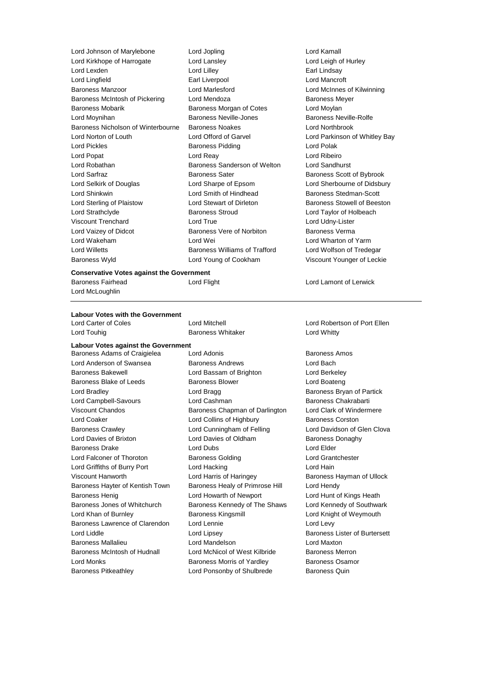Lord Johnson of Marylebone Lord Jopling Lord Kamall Lord Kirkhope of Harrogate Lord Lansley Lord Leigh of Hurley Lord Lexden Lord Lilley Earl Lindsay Lord Lingfield Earl Liverpool Lord Mancroft Baroness Manzoor Lord Marlesford Lord McInnes of Kilwinning Baroness McIntosh of Pickering Lord Mendoza **Baroness Meyer** Baroness Meyer Baroness Mobarik Baroness Morgan of Cotes Lord Moylan Lord Moynihan Baroness Neville-Jones Baroness Neville-Rolfe Baroness Nicholson of Winterbourne Baroness Noakes Lord Northbrook Lord Norton of Louth Lord Offord of Garvel Lord Parkinson of Whitley Bay Lord Pickles **Baroness Pidding Lord Polak** Lord Polak Lord Popat Lord Reay Lord Ribeiro Lord Robathan Baroness Sanderson of Welton Lord Sandhurst Lord Sarfraz **Baroness Sater** Baroness Sater Baroness Scott of Bybrook Lord Selkirk of Douglas Lord Sharpe of Epsom Lord Sherbourne of Didsbury Lord Shinkwin **Lord Smith of Hindhead** Baroness Stedman-Scott Lord Sterling of Plaistow Lord Stewart of Dirleton Baroness Stowell of Beeston Lord Strathclyde Baroness Stroud Lord Taylor of Holbeach Viscount Trenchard Lord True Lord Udny-Lister Lord Vaizey of Didcot **Baroness Vere of Norbiton** Baroness Verma Lord Wakeham Lord Wei Lord Wharton of Yarm Lord Willetts Baroness Williams of Trafford Lord Wolfson of Tredegar Baroness Wyld Lord Young of Cookham Viscount Younger of Leckie

#### **Conservative Votes against the Government**

Baroness Fairhead **Lord Flight** Lord Flight Lord Lamont of Lerwick

Lord McLoughlin

# **Labour Votes with the Government**

Lord Touhig **Communist Communist Communist Communist Communist Communist Communist Communist Communist Communist Communist Communist Communist Communist Communist Communist Communist Communist Communist Communist Communist** 

**Labour Votes against the Government**

Lord Anderson of Swansea Baroness Andrews Lord Bach Baroness Bakewell Lord Bassam of Brighton Lord Berkeley Baroness Blake of Leeds Baroness Blower Baroness Blower Lord Boateng Lord Bradley **Lord Bragg Community** Lord Bragg **Baroness Bryan of Partick** Lord Campbell-Savours **Lord Cashman** Baroness Chakrabarti Viscount Chandos **Baroness Chapman of Darlington** Lord Clark of Windermere Lord Coaker **Lord Collins of Highbury** Baroness Corston Baroness Crawley Lord Cunningham of Felling Lord Davidson of Glen Clova Lord Davies of Brixton Lord Davies of Oldham Baroness Donaghy Baroness Drake Lord Dubs Lord Elder Lord Falconer of Thoroton Baroness Golding Lord Grantchester Lord Griffiths of Burry Port Lord Hacking Lord Hain Viscount Hanworth Lord Harris of Haringey Baroness Hayman of Ullock Baroness Hayter of Kentish Town Baroness Healy of Primrose Hill Lord Hendy Baroness Henig **Lord Howarth of Newport** Lord Hunt of Kings Heath Baroness Jones of Whitchurch Baroness Kennedy of The Shaws Lord Kennedy of Southwark Lord Khan of Burnley Baroness Kingsmill Lord Knight of Weymouth Baroness Lawrence of Clarendon Lord Lennie **Lord Levy** Lord Levy Lord Liddle Lord Lipsey Baroness Lister of Burtersett Baroness Mallalieu Lord Mandelson Lord Maxton Baroness McIntosh of Hudnall Lord McNicol of West Kilbride Baroness Merron Lord Monks **Baroness Morris of Yardley** Baroness Osamor Baroness Pitkeathley Lord Ponsonby of Shulbrede Baroness Quin

Baroness Adams of Craigielea Lord Adonis **Baroness Amos** Baroness Amos

Lord Carter of Coles Lord Mitchell Lord Robertson of Port Ellen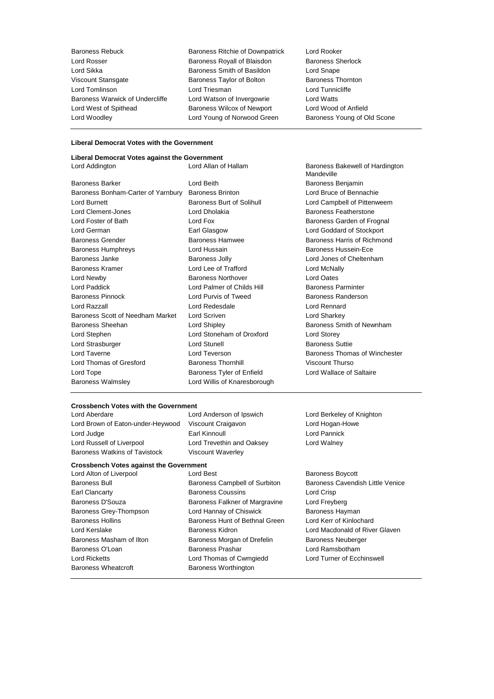Baroness Rebuck Baroness Ritchie of Downpatrick Lord Rooker Lord Rosser **Baroness Royall of Blaisdon** Baroness Sherlock<br>
Lord Sikka **Baroness Smith of Basildon** Lord Snape Viscount Stansgate Baroness Taylor of Bolton Lord Tomlinson Lord Triesman Lord Tunnicliffe Baroness Warwick of Undercliffe Lord Watson of Invergowrie Lord Watts Lord West of Spithead Baroness Wilcox of Newport Lord Wood of Anfield Lord Woodley **Lord Young of Norwood Green** Baroness Young of Old Scone

Exaroness Smith of Basildon<br>
Baroness Taylor of Bolton<br>
Baroness Thornton

### **Liberal Democrat Votes with the Government**

# **Liberal Democrat Votes against the Government**

| <b>Baroness Barker</b>             | Lord Be       |
|------------------------------------|---------------|
| Baroness Bonham-Carter of Yarnbury | <b>Barone</b> |
| <b>Lord Burnett</b>                | <b>Barone</b> |
| <b>Lord Clement-Jones</b>          | Lord Dł       |
| Lord Foster of Bath                | Lord Fo       |
| Lord German                        | Earl Gla      |
| <b>Baroness Grender</b>            | Barone        |
| <b>Baroness Humphreys</b>          | Lord Ht       |
| Baroness Janke                     | Barone        |
| Baroness Kramer                    | Lord Le       |
| Lord Newby                         | <b>Barone</b> |
| Lord Paddick                       | Lord Pa       |
| <b>Baroness Pinnock</b>            | Lord Pu       |
| Lord Razzall                       | Lord Re       |
| Baroness Scott of Needham Market   | Lord So       |
| Baroness Sheehan                   | Lord Sh       |
| Lord Stephen                       | Lord St       |
| Lord Strasburger                   | Lord St       |
| Lord Taverne                       | Lord $Te$     |
| Lord Thomas of Gresford            | Barone        |
| Lord Tope                          | <b>Barone</b> |
| <b>Baroness Walmsley</b>           | Lord W        |
|                                    |               |

eith **Barchess Benjamin** Baroness Correlation Correlations Correlation Correlations Correlations Correlations Correlations Correlations Correlations Correlations Correlations Correlations Correlations Correlations Correlations Correlations Correla **Lord Oates Continuing Barones** Lord Oates almer of Childs Hill **Baroness Parminter** arvis of Tweed **Baroness Randerson** edesdale **Lord Rennard** Baroness Scott of Needham Market Lord Scriven Lord Sharkey Lord Stephen Lord Stoneham of Droxford Lord Storey **Lord Strasburger Lord Strasburger Lord Strasburger Suttients Suttients Lord Thomas Cress Thornhill Cress Thomas Screen Assess Thomas Viscount Thurso** ss Tyler of Enfield Lord Wallace of Saltaire 'illis of Knaresborough

Lord Addington **Lord Allan of Hallam** Baroness Bakewell of Hardington **Mandeville** Baroness Brinton Faroness Brinton Lord Bruce of Bennachie Iss Burt of Solihull Lord Campbell of Pittenweem holakia **Clement-Jones Communist Department** Baroness Featherstone Lord Foster Caroness Garden of Frognal asgow **Lord Goddard of Stockport** ss Hamwee Baroness Harris of Richmond ussain **Baroness Hussein-Ece** ess Jolly **Baroness Jolly** Lord Jones of Cheltenham hipley **Baroness Smith of Newnham** everson **Exercise Thomas of Winchester** 

#### **Crossbench Votes with the Government**

Lord Brown of Eaton-under-Heywood Viscount Craigavon Lord Hogan-Howe Lord Judge Earl Kinnoull Lord Pannick Lord Russell of Liverpool Lord Trevethin and Oaksey Lord Walney Baroness Watkins of Tavistock Viscount Waverley

Lord Aberdare Lord Anderson of Ipswich Lord Berkeley of Knighton

#### **Crossbench Votes against the Government**

Lord Ricketts Lord Thomas of Cwmgiedd Lord Turner of Ecchinswell Baroness Wheatcroft **Baroness Worthington** 

Lord Alton of Liverpool **Lord Best** Baroness Boycott Earl Clancarty Baroness Coussins Lord Crisp Baroness D'Souza Baroness Falkner of Margravine Lord Freyberg Baroness Grey-Thompson **Lord Hannay of Chiswick** Baroness Hayman Baroness Hollins Baroness Hunt of Bethnal Green Lord Kerr of Kinlochard Baroness Masham of Ilton Baroness Morgan of Drefelin Baroness Neuberger Baroness O'Loan **Baroness Prashar** Baroness Prashar **Lord Ramsbotham** 

Baroness Bull **Baroness Campbell of Surbiton** Baroness Cavendish Little Venice Lord Kerslake **Baroness Kidron** Baroness Kidron Lord Macdonald of River Glaven